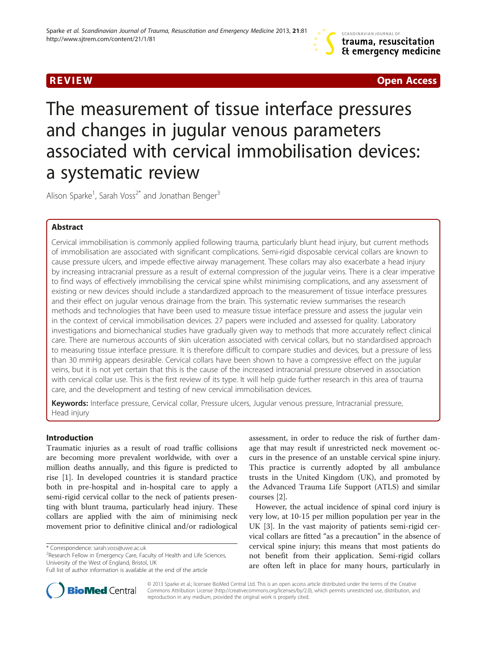R EVI EW Open Access

# The measurement of tissue interface pressures and changes in jugular venous parameters associated with cervical immobilisation devices: a systematic review

Alison Sparke<sup>1</sup>, Sarah Voss<sup>2\*</sup> and Jonathan Benger<sup>3</sup>

# Abstract

Cervical immobilisation is commonly applied following trauma, particularly blunt head injury, but current methods of immobilisation are associated with significant complications. Semi-rigid disposable cervical collars are known to cause pressure ulcers, and impede effective airway management. These collars may also exacerbate a head injury by increasing intracranial pressure as a result of external compression of the jugular veins. There is a clear imperative to find ways of effectively immobilising the cervical spine whilst minimising complications, and any assessment of existing or new devices should include a standardized approach to the measurement of tissue interface pressures and their effect on jugular venous drainage from the brain. This systematic review summarises the research methods and technologies that have been used to measure tissue interface pressure and assess the jugular vein in the context of cervical immobilisation devices. 27 papers were included and assessed for quality. Laboratory investigations and biomechanical studies have gradually given way to methods that more accurately reflect clinical care. There are numerous accounts of skin ulceration associated with cervical collars, but no standardised approach to measuring tissue interface pressure. It is therefore difficult to compare studies and devices, but a pressure of less than 30 mmHg appears desirable. Cervical collars have been shown to have a compressive effect on the jugular veins, but it is not yet certain that this is the cause of the increased intracranial pressure observed in association with cervical collar use. This is the first review of its type. It will help guide further research in this area of trauma care, and the development and testing of new cervical immobilisation devices.

Keywords: Interface pressure, Cervical collar, Pressure ulcers, Jugular venous pressure, Intracranial pressure, Head injury

# Introduction

Traumatic injuries as a result of road traffic collisions are becoming more prevalent worldwide, with over a million deaths annually, and this figure is predicted to rise [\[1](#page-8-0)]. In developed countries it is standard practice both in pre-hospital and in-hospital care to apply a semi-rigid cervical collar to the neck of patients presenting with blunt trauma, particularly head injury. These collars are applied with the aim of minimising neck movement prior to definitive clinical and/or radiological

<sup>2</sup>Research Fellow in Emergency Care, Faculty of Health and Life Sciences, University of the West of England, Bristol, UK

assessment, in order to reduce the risk of further damage that may result if unrestricted neck movement occurs in the presence of an unstable cervical spine injury. This practice is currently adopted by all ambulance trusts in the United Kingdom (UK), and promoted by the Advanced Trauma Life Support (ATLS) and similar courses [\[2](#page-8-0)].

However, the actual incidence of spinal cord injury is very low, at 10-15 per million population per year in the UK [[3\]](#page-8-0). In the vast majority of patients semi-rigid cervical collars are fitted "as a precaution" in the absence of cervical spine injury; this means that most patients do not benefit from their application. Semi-rigid collars are often left in place for many hours, particularly in



© 2013 Sparke et al.; licensee BioMed Central Ltd. This is an open access article distributed under the terms of the Creative Commons Attribution License [\(http://creativecommons.org/licenses/by/2.0\)](http://creativecommons.org/licenses/by/2.0), which permits unrestricted use, distribution, and reproduction in any medium, provided the original work is properly cited.

<sup>\*</sup> Correspondence: [sarah.voss@uwe.ac.uk](mailto:sarah.voss@uwe.ac.uk) <sup>2</sup>

Full list of author information is available at the end of the article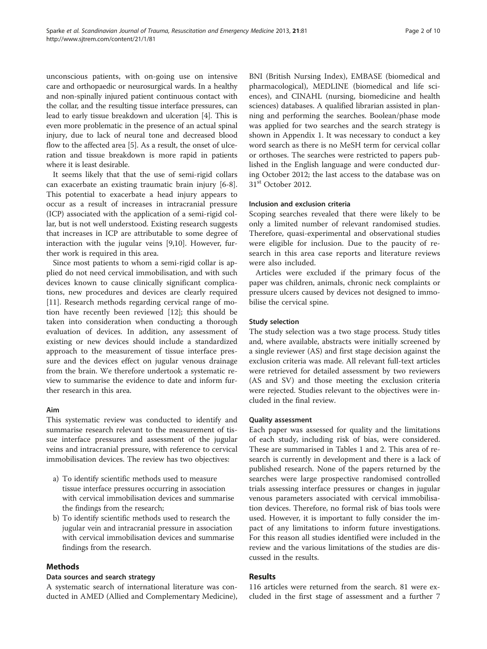unconscious patients, with on-going use on intensive care and orthopaedic or neurosurgical wards. In a healthy and non-spinally injured patient continuous contact with the collar, and the resulting tissue interface pressures, can lead to early tissue breakdown and ulceration [[4](#page-8-0)]. This is even more problematic in the presence of an actual spinal injury, due to lack of neural tone and decreased blood flow to the affected area [\[5](#page-8-0)]. As a result, the onset of ulceration and tissue breakdown is more rapid in patients where it is least desirable.

It seems likely that that the use of semi-rigid collars can exacerbate an existing traumatic brain injury [[6-8](#page-8-0)]. This potential to exacerbate a head injury appears to occur as a result of increases in intracranial pressure (ICP) associated with the application of a semi-rigid collar, but is not well understood. Existing research suggests that increases in ICP are attributable to some degree of interaction with the jugular veins [\[9,10](#page-8-0)]. However, further work is required in this area.

Since most patients to whom a semi-rigid collar is applied do not need cervical immobilisation, and with such devices known to cause clinically significant complications, new procedures and devices are clearly required [[11\]](#page-8-0). Research methods regarding cervical range of motion have recently been reviewed [\[12](#page-9-0)]; this should be taken into consideration when conducting a thorough evaluation of devices. In addition, any assessment of existing or new devices should include a standardized approach to the measurement of tissue interface pressure and the devices effect on jugular venous drainage from the brain. We therefore undertook a systematic review to summarise the evidence to date and inform further research in this area.

#### Aim

This systematic review was conducted to identify and summarise research relevant to the measurement of tissue interface pressures and assessment of the jugular veins and intracranial pressure, with reference to cervical immobilisation devices. The review has two objectives:

- a) To identify scientific methods used to measure tissue interface pressures occurring in association with cervical immobilisation devices and summarise the findings from the research;
- b) To identify scientific methods used to research the jugular vein and intracranial pressure in association with cervical immobilisation devices and summarise findings from the research.

# Methods

# Data sources and search strategy

A systematic search of international literature was conducted in AMED (Allied and Complementary Medicine),

BNI (British Nursing Index), EMBASE (biomedical and pharmacological), MEDLINE (biomedical and life sciences), and CINAHL (nursing, biomedicine and health sciences) databases. A qualified librarian assisted in planning and performing the searches. Boolean/phase mode was applied for two searches and the search strategy is shown in [Appendix 1.](#page-8-0) It was necessary to conduct a key word search as there is no MeSH term for cervical collar or orthoses. The searches were restricted to papers published in the English language and were conducted during October 2012; the last access to the database was on 31<sup>st</sup> October 2012.

# Inclusion and exclusion criteria

Scoping searches revealed that there were likely to be only a limited number of relevant randomised studies. Therefore, quasi-experimental and observational studies were eligible for inclusion. Due to the paucity of research in this area case reports and literature reviews were also included.

Articles were excluded if the primary focus of the paper was children, animals, chronic neck complaints or pressure ulcers caused by devices not designed to immobilise the cervical spine.

# Study selection

The study selection was a two stage process. Study titles and, where available, abstracts were initially screened by a single reviewer (AS) and first stage decision against the exclusion criteria was made. All relevant full-text articles were retrieved for detailed assessment by two reviewers (AS and SV) and those meeting the exclusion criteria were rejected. Studies relevant to the objectives were included in the final review.

# Quality assessment

Each paper was assessed for quality and the limitations of each study, including risk of bias, were considered. These are summarised in Tables [1](#page-2-0) and [2](#page-4-0). This area of research is currently in development and there is a lack of published research. None of the papers returned by the searches were large prospective randomised controlled trials assessing interface pressures or changes in jugular venous parameters associated with cervical immobilisation devices. Therefore, no formal risk of bias tools were used. However, it is important to fully consider the impact of any limitations to inform future investigations. For this reason all studies identified were included in the review and the various limitations of the studies are discussed in the results.

# Results

116 articles were returned from the search. 81 were excluded in the first stage of assessment and a further 7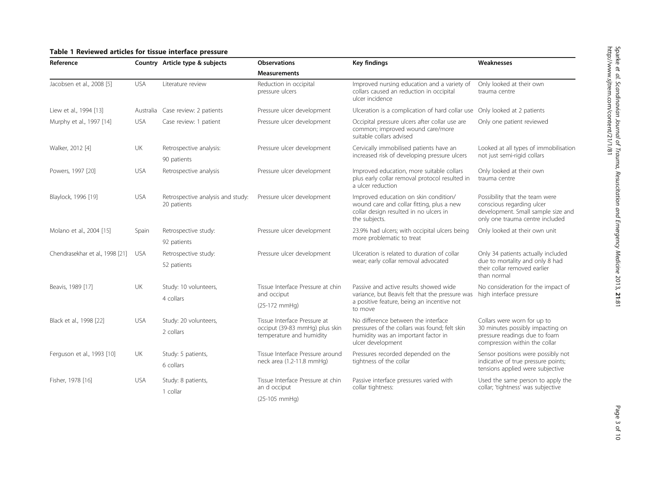# <span id="page-2-0"></span>Table 1 Reviewed articles for tissue interface pressure

| Reference                       |            | Country Article type & subjects                  | <b>Observations</b>                                                                        | <b>Key findings</b>                                                                                                                              | Weaknesses                                                                                                                           |
|---------------------------------|------------|--------------------------------------------------|--------------------------------------------------------------------------------------------|--------------------------------------------------------------------------------------------------------------------------------------------------|--------------------------------------------------------------------------------------------------------------------------------------|
|                                 |            |                                                  | <b>Measurements</b>                                                                        |                                                                                                                                                  |                                                                                                                                      |
| Jacobsen et al., 2008 [5]       | <b>USA</b> | Literature review                                | Reduction in occipital<br>pressure ulcers                                                  | Improved nursing education and a variety of<br>collars caused an reduction in occipital<br>ulcer incidence                                       | Only looked at their own<br>trauma centre                                                                                            |
| Liew et al., 1994 [13]          |            | Australia Case review: 2 patients                | Pressure ulcer development                                                                 | Ulceration is a complication of hard collar use Only looked at 2 patients                                                                        |                                                                                                                                      |
| Murphy et al., 1997 [14]        | <b>USA</b> | Case review: 1 patient                           | Pressure ulcer development                                                                 | Occipital pressure ulcers after collar use are<br>Only one patient reviewed<br>common; improved wound care/more<br>suitable collars advised      |                                                                                                                                      |
| Walker, 2012 [4]                | UK         | Retrospective analysis:                          | Pressure ulcer development                                                                 | Cervically immobilised patients have an                                                                                                          | Looked at all types of immobilisation<br>not just semi-rigid collars                                                                 |
|                                 |            | 90 patients                                      |                                                                                            | increased risk of developing pressure ulcers                                                                                                     |                                                                                                                                      |
| Powers, 1997 [20]               | <b>USA</b> | Retrospective analysis                           | Pressure ulcer development                                                                 | Improved education, more suitable collars<br>plus early collar removal protocol resulted in<br>a ulcer reduction                                 | Only looked at their own<br>trauma centre                                                                                            |
| Blaylock, 1996 [19]             | <b>USA</b> | Retrospective analysis and study:<br>20 patients | Pressure ulcer development                                                                 | Improved education on skin condition/<br>wound care and collar fitting, plus a new<br>collar design resulted in no ulcers in<br>the subjects.    | Possibility that the team were<br>conscious regarding ulcer<br>development. Small sample size and<br>only one trauma centre included |
| Molano et al., 2004 [15]        | Spain      | Retrospective study:<br>92 patients              | Pressure ulcer development                                                                 | 23.9% had ulcers; with occipital ulcers being<br>more problematic to treat                                                                       | Only looked at their own unit                                                                                                        |
| Chendrasekhar et al., 1998 [21] | <b>USA</b> | Retrospective study:<br>52 patients              | Pressure ulcer development                                                                 | Ulceration is related to duration of collar<br>wear; early collar removal advocated                                                              | Only 34 patients actually included<br>due to mortality and only 8 had<br>their collar removed earlier<br>than normal                 |
| Beavis, 1989 [17]               | UK         | Study: 10 volunteers,<br>4 collars               | Tissue Interface Pressure at chin<br>and occiput                                           | Passive and active results showed wide<br>variance, but Beavis felt that the pressure was                                                        | No consideration for the impact of<br>high interface pressure                                                                        |
|                                 |            |                                                  | $(25-172 \text{ mmHg})$                                                                    | a positive feature, being an incentive not<br>to move                                                                                            |                                                                                                                                      |
| Black et al., 1998 [22]         | <b>USA</b> | Study: 20 volunteers,<br>2 collars               | Tissue Interface Pressure at<br>occiput (39-83 mmHg) plus skin<br>temperature and humidity | No difference between the interface<br>pressures of the collars was found: felt skin<br>humidity was an important factor in<br>ulcer development | Collars were worn for up to<br>30 minutes possibly impacting on<br>pressure readings due to foam<br>compression within the collar    |
| Ferguson et al., 1993 [10]      | UK         | Study: 5 patients,<br>6 collars                  | Tissue Interface Pressure around<br>neck area (1.2-11.8 mmHg)                              | Pressures recorded depended on the<br>tightness of the collar                                                                                    | Sensor positions were possibly not<br>indicative of true pressure points;<br>tensions applied were subjective                        |
| Fisher, 1978 [16]               | <b>USA</b> | Study: 8 patients,<br>1 collar                   | Tissue Interface Pressure at chin<br>an d occiput                                          | Passive interface pressures varied with<br>collar tightness:                                                                                     | Used the same person to apply the<br>collar; 'tightness' was subjective                                                              |
|                                 |            |                                                  | $(25-105$ mmHg)                                                                            |                                                                                                                                                  |                                                                                                                                      |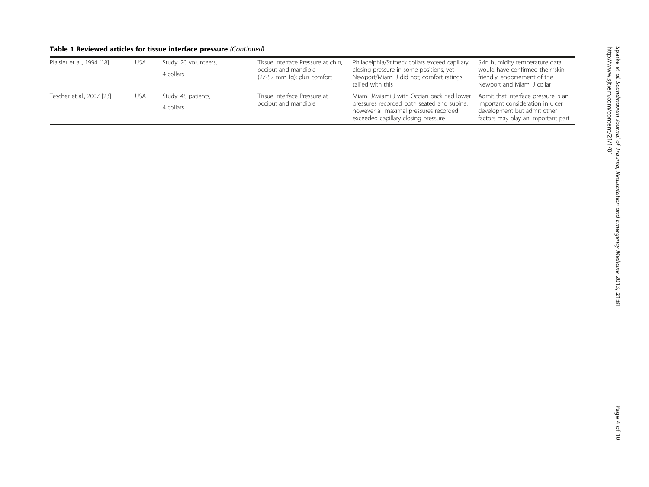# Table 1 Reviewed articles for tissue interface pressure (Continued)

| Plaisier et al., 1994 [18] | <b>USA</b> | Study: 20 volunteers,<br>4 collars | Tissue Interface Pressure at chin,<br>occiput and mandible<br>(27-57 mmHg); plus comfort | Philadelphia/Stifneck collars exceed capillary<br>closing pressure in some positions, yet<br>Newport/Miami J did not; comfort ratings<br>tallied with this                | Skin humidity temperature data<br>would have confirmed their 'skin<br>friendly' endorsement of the<br>Newport and Miami J collar             |
|----------------------------|------------|------------------------------------|------------------------------------------------------------------------------------------|---------------------------------------------------------------------------------------------------------------------------------------------------------------------------|----------------------------------------------------------------------------------------------------------------------------------------------|
| Tescher et al., 2007 [23]  | usa        | Study: 48 patients,<br>4 collars   | Tissue Interface Pressure at<br>occiput and mandible                                     | Miami J/Miami J with Occian back had lower<br>pressures recorded both seated and supine;<br>however all maximal pressures recorded<br>exceeded capillary closing pressure | Admit that interface pressure is an<br>important consideration in ulcer<br>development but admit other<br>factors may play an important part |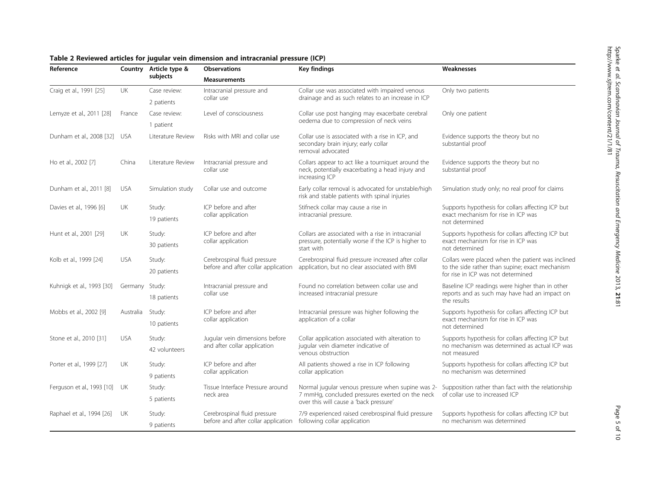| Reference                     |                | Country Article type &<br>subjects | <b>Key findings</b><br><b>Observations</b>                          |                                                                                                                                                | Weaknesses                                                                                                                                 |
|-------------------------------|----------------|------------------------------------|---------------------------------------------------------------------|------------------------------------------------------------------------------------------------------------------------------------------------|--------------------------------------------------------------------------------------------------------------------------------------------|
|                               |                |                                    | <b>Measurements</b>                                                 |                                                                                                                                                |                                                                                                                                            |
| Craig et al., 1991 [25]       | UK             | Case review:                       | Intracranial pressure and                                           | Collar use was associated with impaired venous<br>drainage and as such relates to an increase in ICP                                           | Only two patients                                                                                                                          |
|                               |                | 2 patients                         | collar use                                                          |                                                                                                                                                |                                                                                                                                            |
| Lemyze et al., 2011 [28]      | France         | Case review:                       | Level of consciousness                                              | Collar use post hanging may exacerbate cerebral<br>oedema due to compression of neck veins                                                     | Only one patient                                                                                                                           |
|                               |                | 1 patient                          |                                                                     |                                                                                                                                                |                                                                                                                                            |
| Dunham et al., 2008 [32] USA  |                | Literature Review                  | Risks with MRI and collar use                                       | Collar use is associated with a rise in ICP, and<br>secondary brain injury; early collar<br>removal advocated                                  | Evidence supports the theory but no<br>substantial proof                                                                                   |
| Ho et al., 2002 [7]           | China          | Literature Review                  | Intracranial pressure and<br>collar use                             | Collars appear to act like a tourniquet around the<br>neck, potentially exacerbating a head injury and<br>increasing ICP                       | Evidence supports the theory but no<br>substantial proof                                                                                   |
| Dunham et al., 2011 [8]       | USA            | Simulation study                   | Collar use and outcome                                              | Early collar removal is advocated for unstable/high<br>risk and stable patients with spinal injuries                                           | Simulation study only; no real proof for claims                                                                                            |
| Davies et al., 1996 [6]       | UK             | Study:<br>19 patients              | ICP before and after<br>collar application                          | Stifneck collar may cause a rise in<br>intracranial pressure.                                                                                  | Supports hypothesis for collars affecting ICP but<br>exact mechanism for rise in ICP was<br>not determined                                 |
| Hunt et al., 2001 [29]        | UK             | Study:<br>30 patients              | ICP before and after<br>collar application                          | Collars are associated with a rise in intracranial<br>pressure, potentially worse if the ICP is higher to<br>start with                        | Supports hypothesis for collars affecting ICP but<br>exact mechanism for rise in ICP was<br>not determined                                 |
| Kolb et al., 1999 [24]        | <b>USA</b>     | Study:<br>20 patients              | Cerebrospinal fluid pressure<br>before and after collar application | Cerebrospinal fluid pressure increased after collar<br>application, but no clear associated with BMI                                           | Collars were placed when the patient was inclined<br>to the side rather than supine; exact mechanism<br>for rise in ICP was not determined |
| Kuhnigk et al., 1993 [30]     | Germany Study: | 18 patients                        | Intracranial pressure and<br>collar use                             | Found no correlation between collar use and<br>increased intracranial pressure                                                                 | Baseline ICP readings were higher than in other<br>reports and as such may have had an impact on<br>the results                            |
| Mobbs et al., 2002 [9]        | Australia      | Study:<br>10 patients              | ICP before and after<br>collar application                          | Intracranial pressure was higher following the<br>application of a collar                                                                      | Supports hypothesis for collars affecting ICP but<br>exact mechanism for rise in ICP was<br>not determined                                 |
| Stone et al., 2010 [31]       | <b>USA</b>     | Study:<br>42 volunteers            | Jugular vein dimensions before<br>and after collar application      | Collar application associated with alteration to<br>jugular vein diameter indicative of<br>venous obstruction                                  | Supports hypothesis for collars affecting ICP but<br>no mechanism was determined as actual ICP was<br>not measured                         |
| Porter et al., 1999 [27]      | UK             | Study:<br>9 patients               | ICP before and after<br>collar application                          | All patients showed a rise in ICP following<br>collar application                                                                              | Supports hypothesis for collars affecting ICP but<br>no mechanism was determined                                                           |
| Ferguson et al., 1993 [10] UK |                | Study:<br>5 patients               | Tissue Interface Pressure around<br>neck area                       | Normal jugular venous pressure when supine was 2-<br>7 mmHg, concluded pressures exerted on the neck<br>over this will cause a 'back pressure' | Supposition rather than fact with the relationship<br>of collar use to increased ICP                                                       |
| Raphael et al., 1994 [26]     | UK             | Study:<br>9 patients               | Cerebrospinal fluid pressure<br>before and after collar application | 7/9 experienced raised cerebrospinal fluid pressure<br>following collar application                                                            | Supports hypothesis for collars affecting ICP but<br>no mechanism was determined                                                           |

#### <span id="page-4-0"></span>Table 2 Reviewed articles for jugular vein dimension and intracranial pressure (ICP)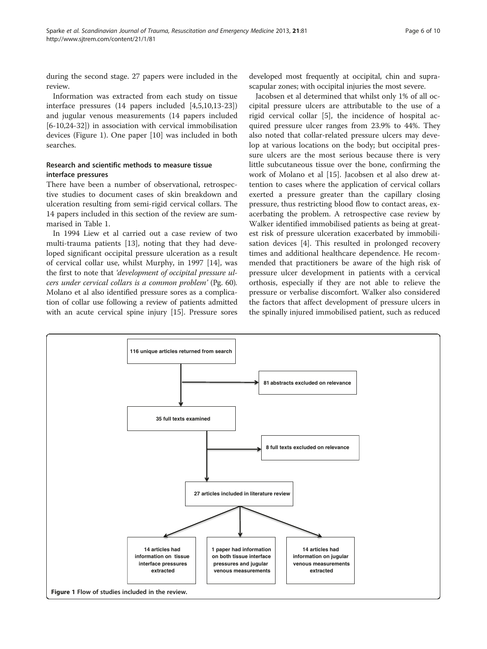during the second stage. 27 papers were included in the review.

Information was extracted from each study on tissue interface pressures (14 papers included [[4,5,10,](#page-8-0)[13-23](#page-9-0)]) and jugular venous measurements (14 papers included [[6-10](#page-8-0)[,24](#page-9-0)-[32\]](#page-9-0)) in association with cervical immobilisation devices (Figure 1). One paper [\[10](#page-8-0)] was included in both searches.

# Research and scientific methods to measure tissue interface pressures

There have been a number of observational, retrospective studies to document cases of skin breakdown and ulceration resulting from semi-rigid cervical collars. The 14 papers included in this section of the review are summarised in Table [1.](#page-2-0)

In 1994 Liew et al carried out a case review of two multi-trauma patients [[13\]](#page-9-0), noting that they had developed significant occipital pressure ulceration as a result of cervical collar use, whilst Murphy, in 1997 [\[14](#page-9-0)], was the first to note that 'development of occipital pressure ulcers under cervical collars is a common problem' (Pg. 60). Molano et al also identified pressure sores as a complication of collar use following a review of patients admitted with an acute cervical spine injury [[15](#page-9-0)]. Pressure sores

developed most frequently at occipital, chin and suprascapular zones; with occipital injuries the most severe.

Jacobsen et al determined that whilst only 1% of all occipital pressure ulcers are attributable to the use of a rigid cervical collar [[5\]](#page-8-0), the incidence of hospital acquired pressure ulcer ranges from 23.9% to 44%. They also noted that collar-related pressure ulcers may develop at various locations on the body; but occipital pressure ulcers are the most serious because there is very little subcutaneous tissue over the bone, confirming the work of Molano et al [[15](#page-9-0)]. Jacobsen et al also drew attention to cases where the application of cervical collars exerted a pressure greater than the capillary closing pressure, thus restricting blood flow to contact areas, exacerbating the problem. A retrospective case review by Walker identified immobilised patients as being at greatest risk of pressure ulceration exacerbated by immobilisation devices [[4\]](#page-8-0). This resulted in prolonged recovery times and additional healthcare dependence. He recommended that practitioners be aware of the high risk of pressure ulcer development in patients with a cervical orthosis, especially if they are not able to relieve the pressure or verbalise discomfort. Walker also considered the factors that affect development of pressure ulcers in the spinally injured immobilised patient, such as reduced

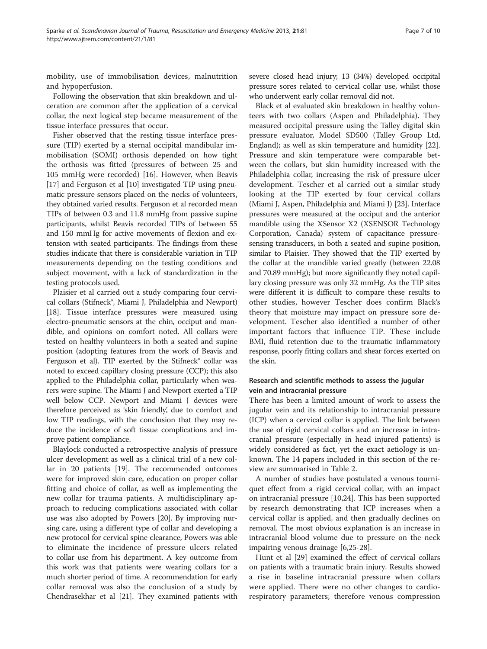mobility, use of immobilisation devices, malnutrition and hypoperfusion.

Following the observation that skin breakdown and ulceration are common after the application of a cervical collar, the next logical step became measurement of the tissue interface pressures that occur.

Fisher observed that the resting tissue interface pressure (TIP) exerted by a sternal occipital mandibular immobilisation (SOMI) orthosis depended on how tight the orthosis was fitted (pressures of between 25 and 105 mmHg were recorded) [[16\]](#page-9-0). However, when Beavis [[17](#page-9-0)] and Ferguson et al [[10](#page-8-0)] investigated TIP using pneumatic pressure sensors placed on the necks of volunteers, they obtained varied results. Ferguson et al recorded mean TIPs of between 0.3 and 11.8 mmHg from passive supine participants, whilst Beavis recorded TIPs of between 55 and 150 mmHg for active movements of flexion and extension with seated participants. The findings from these studies indicate that there is considerable variation in TIP measurements depending on the testing conditions and subject movement, with a lack of standardization in the testing protocols used.

Plaisier et al carried out a study comparing four cervical collars (Stifneck®, Miami J, Philadelphia and Newport) [[18](#page-9-0)]. Tissue interface pressures were measured using electro-pneumatic sensors at the chin, occiput and mandible, and opinions on comfort noted. All collars were tested on healthy volunteers in both a seated and supine position (adopting features from the work of Beavis and Ferguson et al). TIP exerted by the Stifneck® collar was noted to exceed capillary closing pressure (CCP); this also applied to the Philadelphia collar, particularly when wearers were supine. The Miami J and Newport exerted a TIP well below CCP. Newport and Miami J devices were therefore perceived as 'skin friendly', due to comfort and low TIP readings, with the conclusion that they may reduce the incidence of soft tissue complications and improve patient compliance.

Blaylock conducted a retrospective analysis of pressure ulcer development as well as a clinical trial of a new collar in 20 patients [[19\]](#page-9-0). The recommended outcomes were for improved skin care, education on proper collar fitting and choice of collar, as well as implementing the new collar for trauma patients. A multidisciplinary approach to reducing complications associated with collar use was also adopted by Powers [[20\]](#page-9-0). By improving nursing care, using a different type of collar and developing a new protocol for cervical spine clearance, Powers was able to eliminate the incidence of pressure ulcers related to collar use from his department. A key outcome from this work was that patients were wearing collars for a much shorter period of time. A recommendation for early collar removal was also the conclusion of a study by Chendrasekhar et al [[21](#page-9-0)]. They examined patients with

severe closed head injury; 13 (34%) developed occipital pressure sores related to cervical collar use, whilst those who underwent early collar removal did not.

Black et al evaluated skin breakdown in healthy volunteers with two collars (Aspen and Philadelphia). They measured occipital pressure using the Talley digital skin pressure evaluator, Model SD500 (Talley Group Ltd, England); as well as skin temperature and humidity [\[22](#page-9-0)]. Pressure and skin temperature were comparable between the collars, but skin humidity increased with the Philadelphia collar, increasing the risk of pressure ulcer development. Tescher et al carried out a similar study looking at the TIP exerted by four cervical collars (Miami J, Aspen, Philadelphia and Miami J) [[23](#page-9-0)]. Interface pressures were measured at the occiput and the anterior mandible using the XSensor X2 (XSENSOR Technology Corporation, Canada) system of capacitance pressuresensing transducers, in both a seated and supine position, similar to Plaisier. They showed that the TIP exerted by the collar at the mandible varied greatly (between 22.08 and 70.89 mmHg); but more significantly they noted capillary closing pressure was only 32 mmHg. As the TIP sites were different it is difficult to compare these results to other studies, however Tescher does confirm Black's theory that moisture may impact on pressure sore development. Tescher also identified a number of other important factors that influence TIP. These include BMI, fluid retention due to the traumatic inflammatory response, poorly fitting collars and shear forces exerted on the skin.

# Research and scientific methods to assess the jugular vein and intracranial pressure

There has been a limited amount of work to assess the jugular vein and its relationship to intracranial pressure (ICP) when a cervical collar is applied. The link between the use of rigid cervical collars and an increase in intracranial pressure (especially in head injured patients) is widely considered as fact, yet the exact aetiology is unknown. The 14 papers included in this section of the review are summarised in Table [2.](#page-4-0)

A number of studies have postulated a venous tourniquet effect from a rigid cervical collar, with an impact on intracranial pressure [[10,](#page-8-0)[24\]](#page-9-0). This has been supported by research demonstrating that ICP increases when a cervical collar is applied, and then gradually declines on removal. The most obvious explanation is an increase in intracranial blood volume due to pressure on the neck impairing venous drainage [\[6](#page-8-0)[,25](#page-9-0)-[28\]](#page-9-0).

Hunt et al [\[29\]](#page-9-0) examined the effect of cervical collars on patients with a traumatic brain injury. Results showed a rise in baseline intracranial pressure when collars were applied. There were no other changes to cardiorespiratory parameters; therefore venous compression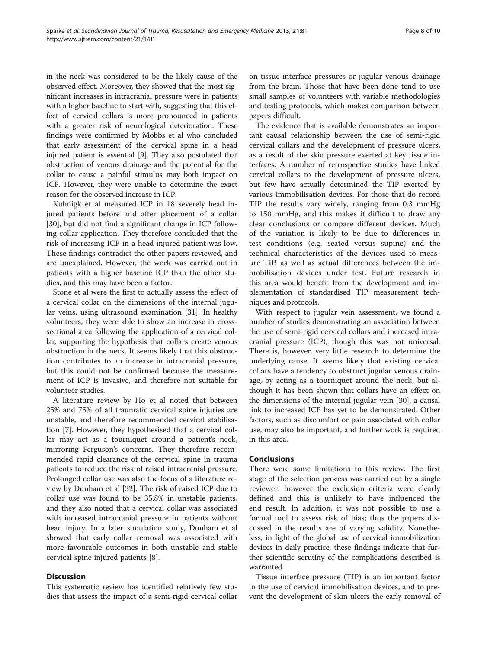in the neck was considered to be the likely cause of the observed effect. Moreover, they showed that the most significant increases in intracranial pressure were in patients with a higher baseline to start with, suggesting that this effect of cervical collars is more pronounced in patients with a greater risk of neurological deterioration. These findings were confirmed by Mobbs et al who concluded that early assessment of the cervical spine in a head injured patient is essential [[9](#page-8-0)]. They also postulated that obstruction of venous drainage and the potential for the collar to cause a painful stimulus may both impact on ICP. However, they were unable to determine the exact reason for the observed increase in ICP.

Kuhnigk et al measured ICP in 18 severely head injured patients before and after placement of a collar [[30\]](#page-9-0), but did not find a significant change in ICP following collar application. They therefore concluded that the risk of increasing ICP in a head injured patient was low. These findings contradict the other papers reviewed, and are unexplained. However, the work was carried out in patients with a higher baseline ICP than the other studies, and this may have been a factor.

Stone et al were the first to actually assess the effect of a cervical collar on the dimensions of the internal jugular veins, using ultrasound examination [\[31](#page-9-0)]. In healthy volunteers, they were able to show an increase in crosssectional area following the application of a cervical collar, supporting the hypothesis that collars create venous obstruction in the neck. It seems likely that this obstruction contributes to an increase in intracranial pressure, but this could not be confirmed because the measurement of ICP is invasive, and therefore not suitable for volunteer studies.

A literature review by Ho et al noted that between 25% and 75% of all traumatic cervical spine injuries are unstable, and therefore recommended cervical stabilisation [[7\]](#page-8-0). However, they hypothesised that a cervical collar may act as a tourniquet around a patient's neck, mirroring Ferguson's concerns. They therefore recommended rapid clearance of the cervical spine in trauma patients to reduce the risk of raised intracranial pressure. Prolonged collar use was also the focus of a literature review by Dunham et al [[32\]](#page-9-0). The risk of raised ICP due to collar use was found to be 35.8% in unstable patients, and they also noted that a cervical collar was associated with increased intracranial pressure in patients without head injury. In a later simulation study, Dunham et al showed that early collar removal was associated with more favourable outcomes in both unstable and stable cervical spine injured patients [\[8](#page-8-0)].

#### **Discussion**

This systematic review has identified relatively few studies that assess the impact of a semi-rigid cervical collar

on tissue interface pressures or jugular venous drainage from the brain. Those that have been done tend to use small samples of volunteers with variable methodologies and testing protocols, which makes comparison between papers difficult.

The evidence that is available demonstrates an important causal relationship between the use of semi-rigid cervical collars and the development of pressure ulcers, as a result of the skin pressure exerted at key tissue interfaces. A number of retrospective studies have linked cervical collars to the development of pressure ulcers, but few have actually determined the TIP exerted by various immobilisation devices. For those that do record TIP the results vary widely, ranging from 0.3 mmHg to 150 mmHg, and this makes it difficult to draw any clear conclusions or compare different devices. Much of the variation is likely to be due to differences in test conditions (e.g. seated versus supine) and the technical characteristics of the devices used to measure TIP, as well as actual differences between the immobilisation devices under test. Future research in this area would benefit from the development and implementation of standardised TIP measurement techniques and protocols.

With respect to jugular vein assessment, we found a number of studies demonstrating an association between the use of semi-rigid cervical collars and increased intracranial pressure (ICP), though this was not universal. There is, however, very little research to determine the underlying cause. It seems likely that existing cervical collars have a tendency to obstruct jugular venous drainage, by acting as a tourniquet around the neck, but although it has been shown that collars have an effect on the dimensions of the internal jugular vein [[30\]](#page-9-0), a causal link to increased ICP has yet to be demonstrated. Other factors, such as discomfort or pain associated with collar use, may also be important, and further work is required in this area.

# Conclusions

There were some limitations to this review. The first stage of the selection process was carried out by a single reviewer; however the exclusion criteria were clearly defined and this is unlikely to have influenced the end result. In addition, it was not possible to use a formal tool to assess risk of bias; thus the papers discussed in the results are of varying validity. Nonetheless, in light of the global use of cervical immobilization devices in daily practice, these findings indicate that further scientific scrutiny of the complications described is warranted.

Tissue interface pressure (TIP) is an important factor in the use of cervical immobilisation devices, and to prevent the development of skin ulcers the early removal of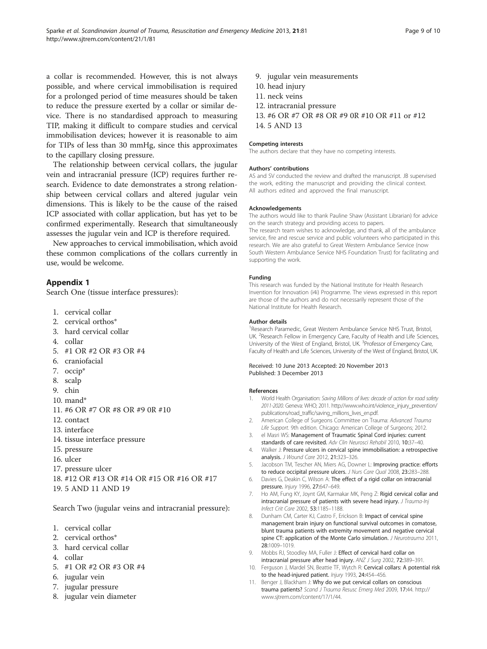<span id="page-8-0"></span>a collar is recommended. However, this is not always possible, and where cervical immobilisation is required for a prolonged period of time measures should be taken to reduce the pressure exerted by a collar or similar device. There is no standardised approach to measuring TIP, making it difficult to compare studies and cervical immobilisation devices; however it is reasonable to aim

for TIPs of less than 30 mmHg, since this approximates to the capillary closing pressure. The relationship between cervical collars, the jugular vein and intracranial pressure (ICP) requires further re-

search. Evidence to date demonstrates a strong relationship between cervical collars and altered jugular vein dimensions. This is likely to be the cause of the raised ICP associated with collar application, but has yet to be confirmed experimentally. Research that simultaneously assesses the jugular vein and ICP is therefore required.

New approaches to cervical immobilisation, which avoid these common complications of the collars currently in use, would be welcome.

# Appendix 1

Search One (tissue interface pressures):

- 1. cervical collar
- 2. cervical orthos\*
- 3. hard cervical collar
- 4. collar
- 5. #1 OR #2 OR #3 OR #4
- 6. craniofacial
- 7. occip\*
- 8. scalp
- 9. chin
- 10. mand\*
- 11. #6 OR #7 OR #8 OR #9 0R #10
- 12. contact
- 13. interface
- 14. tissue interface pressure
- 15. pressure
- 16. ulcer
- 17. pressure ulcer
- 18. #12 OR #13 OR #14 OR #15 OR #16 OR #17
- 19. 5 AND 11 AND 19

Search Two (jugular veins and intracranial pressure):

- 1. cervical collar
- 2. cervical orthos\*
- 3. hard cervical collar
- 4. collar
- 5. #1 OR #2 OR #3 OR #4
- 6. jugular vein
- 7. jugular pressure
- 8. jugular vein diameter
- 9. jugular vein measurements
- 10. head injury
- 11. neck veins
- 12. intracranial pressure
- 13. #6 OR #7 OR #8 OR #9 0R #10 OR #11 or #12 14. 5 AND 13

#### Competing interests

The authors declare that they have no competing interests.

#### Authors' contributions

AS and SV conducted the review and drafted the manuscript. JB supervised the work, editing the manuscript and providing the clinical context. All authors edited and approved the final manuscript.

#### Acknowledgements

The authors would like to thank Pauline Shaw (Assistant Librarian) for advice on the search strategy and providing access to papers.

The research team wishes to acknowledge, and thank, all of the ambulance service, fire and rescue service and public volunteers who participated in this research. We are also grateful to Great Western Ambulance Service (now South Western Ambulance Service NHS Foundation Trust) for facilitating and supporting the work.

#### Funding

This research was funded by the National Institute for Health Research Invention for Innovation (i4i) Programme. The views expressed in this report are those of the authors and do not necessarily represent those of the National Institute for Health Research.

#### Author details

<sup>1</sup> Research Paramedic, Great Western Ambulance Service NHS Trust, Bristol UK. <sup>2</sup>Research Fellow in Emergency Care, Faculty of Health and Life Sciences University of the West of England, Bristol, UK. <sup>3</sup> Professor of Emergency Care Faculty of Health and Life Sciences, University of the West of England, Bristol, UK.

#### Received: 10 June 2013 Accepted: 20 November 2013 Published: 3 December 2013

#### References

- 1. World Health Organisation: Saving Millions of lives: decade of action for road safety 2011-2020. Geneva: WHO; 2011. [http://www.who.int/violence\\_injury\\_prevention/](http://www.who.int/violence_injury_prevention/publications/road_traffic/saving_millions_lives_en.pdf) [publications/road\\_traffic/saving\\_millions\\_lives\\_en.pdf.](http://www.who.int/violence_injury_prevention/publications/road_traffic/saving_millions_lives_en.pdf)
- 2. American College of Surgeons Committee on Trauma: Advanced Trauma Life Support. 9th edition. Chicago: American College of Surgeons; 2012.
- 3. el Masri WS: Management of Traumatic Spinal Cord injuries: current standards of care revisited. Adv Clin Neurosci Rehabil 2010, 10:37–40.
- 4. Walker J: Pressure ulcers in cervical spine immobilisation: a retrospective analysis. J Wound Care 2012, 21:323–326.
- 5. Jacobson TM, Tescher AN, Miers AG, Downer L: Improving practice: efforts to reduce occipital pressure ulcers. J Nurs Care Qual 2008, 23:283-288.
- 6. Davies G, Deakin C, Wilson A: The effect of a rigid collar on intracranial pressure. Injury 1996, 27:647–649.
- 7. Ho AM, Fung KY, Joynt GM, Karmakar MK, Peng Z: Rigid cervical collar and intracranial pressure of patients with severe head injury. J Trauma-Inj Infect Crit Care 2002, 53:1185–1188.
- 8. Dunham CM, Carter KJ, Castro F, Erickson B: Impact of cervical spine management brain injury on functional survival outcomes in comatose, blunt trauma patients with extremity movement and negative cervical spine CT: application of the Monte Carlo simulation. *J Neurotrauma* 2011, 28:1009–1019.
- 9. Mobbs RJ, Stoodley MA, Fuller J: Effect of cervical hard collar on intracranial pressure after head injury. ANZ J Surg 2002, 72:389–391.
- 10. Ferguson J, Mardel SN, Beattie TF, Wytch R: Cervical collars: A potential risk to the head-injured patient. Injury 1993, 24:454-456.
- 11. Benger J, Blackham J: Why do we put cervical collars on conscious trauma patients? Scand J Trauma Resusc Emerg Med 2009, 17:44. [http://](http://www.sjtrem.com/content/17/1/44) [www.sjtrem.com/content/17/1/44.](http://www.sjtrem.com/content/17/1/44)